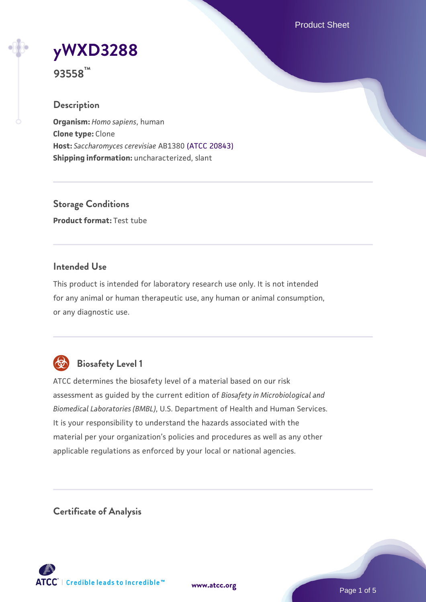Product Sheet

# **[yWXD3288](https://www.atcc.org/products/93558)**

**93558™**

# **Description**

**Organism:** *Homo sapiens*, human **Clone type:** Clone **Host:** *Saccharomyces cerevisiae* AB1380 [\(ATCC 20843\)](https://www.atcc.org/products/20843) **Shipping information:** uncharacterized, slant

**Storage Conditions Product format:** Test tube

## **Intended Use**

This product is intended for laboratory research use only. It is not intended for any animal or human therapeutic use, any human or animal consumption, or any diagnostic use.



# **Biosafety Level 1**

ATCC determines the biosafety level of a material based on our risk assessment as guided by the current edition of *Biosafety in Microbiological and Biomedical Laboratories (BMBL)*, U.S. Department of Health and Human Services. It is your responsibility to understand the hazards associated with the material per your organization's policies and procedures as well as any other applicable regulations as enforced by your local or national agencies.

**Certificate of Analysis**

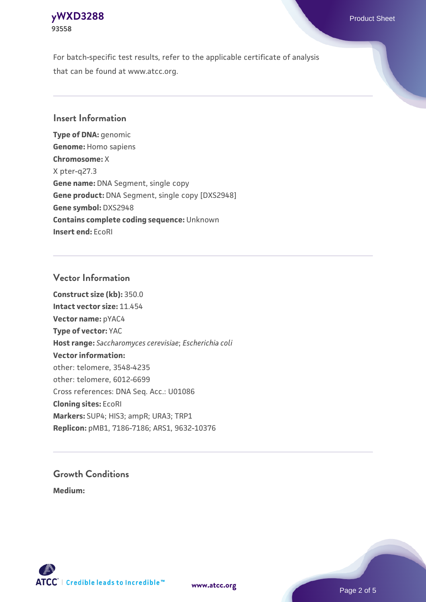#### **[yWXD3288](https://www.atcc.org/products/93558)** Product Sheet **93558**

For batch-specific test results, refer to the applicable certificate of analysis that can be found at www.atcc.org.

## **Insert Information**

**Type of DNA:** genomic **Genome:** Homo sapiens **Chromosome:** X X pter-q27.3 **Gene name:** DNA Segment, single copy **Gene product:** DNA Segment, single copy [DXS2948] **Gene symbol:** DXS2948 **Contains complete coding sequence:** Unknown **Insert end:** EcoRI

## **Vector Information**

**Construct size (kb):** 350.0 **Intact vector size:** 11.454 **Vector name:** pYAC4 **Type of vector:** YAC **Host range:** *Saccharomyces cerevisiae*; *Escherichia coli* **Vector information:** other: telomere, 3548-4235 other: telomere, 6012-6699 Cross references: DNA Seq. Acc.: U01086 **Cloning sites:** EcoRI **Markers:** SUP4; HIS3; ampR; URA3; TRP1 **Replicon:** pMB1, 7186-7186; ARS1, 9632-10376

# **Growth Conditions**

**Medium:** 



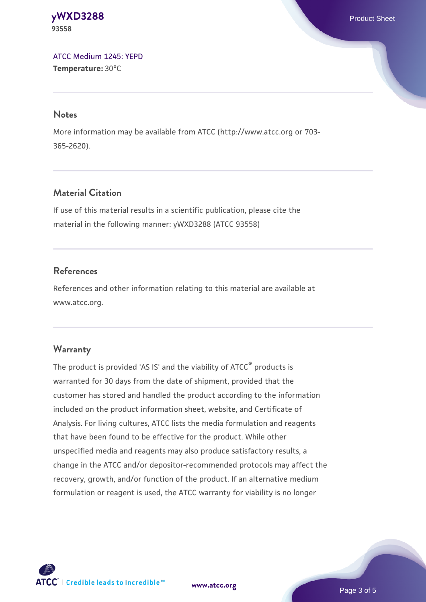#### **[yWXD3288](https://www.atcc.org/products/93558)** Product Sheet **93558**

[ATCC Medium 1245: YEPD](https://www.atcc.org/-/media/product-assets/documents/microbial-media-formulations/1/2/4/5/atcc-medium-1245.pdf?rev=705ca55d1b6f490a808a965d5c072196) **Temperature:** 30°C

#### **Notes**

More information may be available from ATCC (http://www.atcc.org or 703- 365-2620).

# **Material Citation**

If use of this material results in a scientific publication, please cite the material in the following manner: yWXD3288 (ATCC 93558)

# **References**

References and other information relating to this material are available at www.atcc.org.

# **Warranty**

The product is provided 'AS IS' and the viability of ATCC® products is warranted for 30 days from the date of shipment, provided that the customer has stored and handled the product according to the information included on the product information sheet, website, and Certificate of Analysis. For living cultures, ATCC lists the media formulation and reagents that have been found to be effective for the product. While other unspecified media and reagents may also produce satisfactory results, a change in the ATCC and/or depositor-recommended protocols may affect the recovery, growth, and/or function of the product. If an alternative medium formulation or reagent is used, the ATCC warranty for viability is no longer



**[www.atcc.org](http://www.atcc.org)**

Page 3 of 5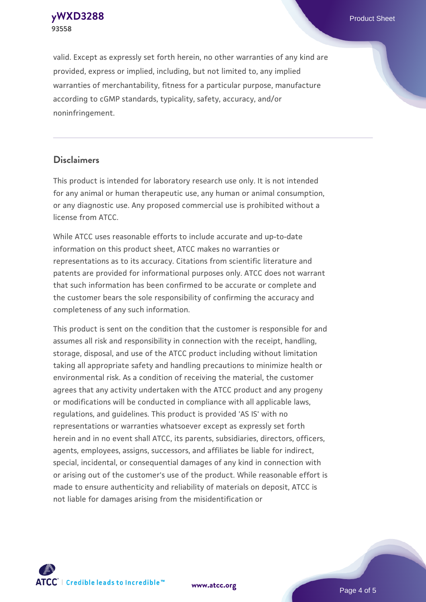**[yWXD3288](https://www.atcc.org/products/93558)** Product Sheet **93558**

valid. Except as expressly set forth herein, no other warranties of any kind are provided, express or implied, including, but not limited to, any implied warranties of merchantability, fitness for a particular purpose, manufacture according to cGMP standards, typicality, safety, accuracy, and/or noninfringement.

#### **Disclaimers**

This product is intended for laboratory research use only. It is not intended for any animal or human therapeutic use, any human or animal consumption, or any diagnostic use. Any proposed commercial use is prohibited without a license from ATCC.

While ATCC uses reasonable efforts to include accurate and up-to-date information on this product sheet, ATCC makes no warranties or representations as to its accuracy. Citations from scientific literature and patents are provided for informational purposes only. ATCC does not warrant that such information has been confirmed to be accurate or complete and the customer bears the sole responsibility of confirming the accuracy and completeness of any such information.

This product is sent on the condition that the customer is responsible for and assumes all risk and responsibility in connection with the receipt, handling, storage, disposal, and use of the ATCC product including without limitation taking all appropriate safety and handling precautions to minimize health or environmental risk. As a condition of receiving the material, the customer agrees that any activity undertaken with the ATCC product and any progeny or modifications will be conducted in compliance with all applicable laws, regulations, and guidelines. This product is provided 'AS IS' with no representations or warranties whatsoever except as expressly set forth herein and in no event shall ATCC, its parents, subsidiaries, directors, officers, agents, employees, assigns, successors, and affiliates be liable for indirect, special, incidental, or consequential damages of any kind in connection with or arising out of the customer's use of the product. While reasonable effort is made to ensure authenticity and reliability of materials on deposit, ATCC is not liable for damages arising from the misidentification or



**[www.atcc.org](http://www.atcc.org)**

Page 4 of 5